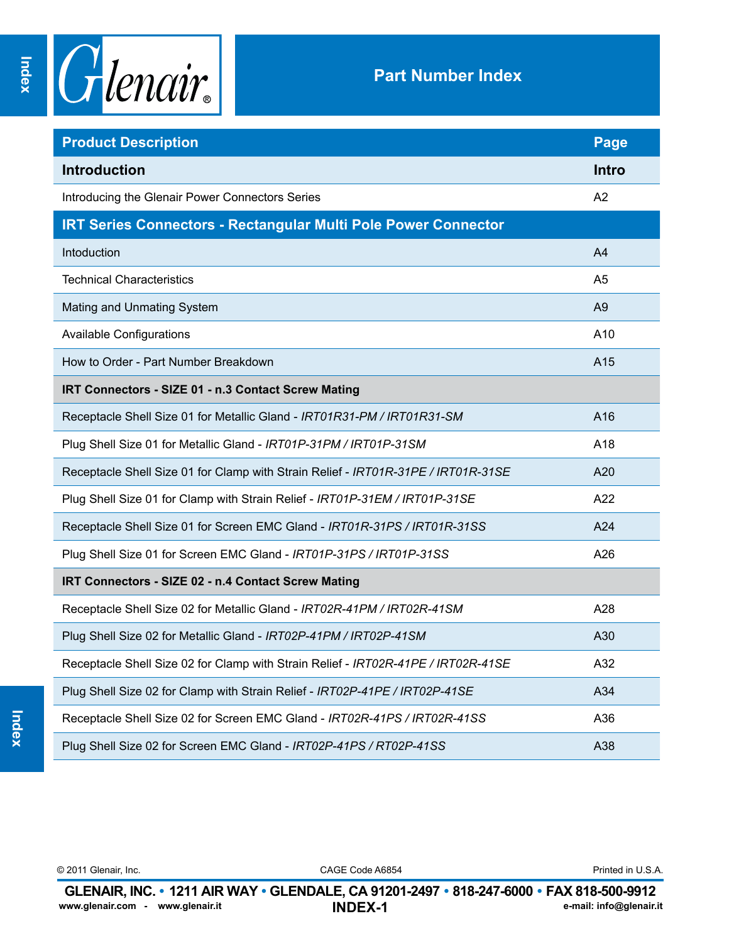

| <b>Product Description</b>                                                        | Page           |
|-----------------------------------------------------------------------------------|----------------|
| <b>Introduction</b>                                                               | <b>Intro</b>   |
| Introducing the Glenair Power Connectors Series                                   | A <sub>2</sub> |
| <b>IRT Series Connectors - Rectangular Multi Pole Power Connector</b>             |                |
| Intoduction                                                                       | A4             |
| <b>Technical Characteristics</b>                                                  | A5             |
| Mating and Unmating System                                                        | A <sub>9</sub> |
| <b>Available Configurations</b>                                                   | A10            |
| How to Order - Part Number Breakdown                                              | A15            |
| IRT Connectors - SIZE 01 - n.3 Contact Screw Mating                               |                |
| Receptacle Shell Size 01 for Metallic Gland - IRT01R31-PM / IRT01R31-SM           | A16            |
| Plug Shell Size 01 for Metallic Gland - IRT01P-31PM / IRT01P-31SM                 | A18            |
| Receptacle Shell Size 01 for Clamp with Strain Relief - IRT01R-31PE / IRT01R-31SE | A20            |
| Plug Shell Size 01 for Clamp with Strain Relief - IRT01P-31EM / IRT01P-31SE       | A22            |
| Receptacle Shell Size 01 for Screen EMC Gland - IRT01R-31PS / IRT01R-31SS         | A24            |
| Plug Shell Size 01 for Screen EMC Gland - IRT01P-31PS / IRT01P-31SS               | A26            |
| IRT Connectors - SIZE 02 - n.4 Contact Screw Mating                               |                |
| Receptacle Shell Size 02 for Metallic Gland - IRT02R-41PM / IRT02R-41SM           | A28            |
| Plug Shell Size 02 for Metallic Gland - IRT02P-41PM / IRT02P-41SM                 | A30            |
| Receptacle Shell Size 02 for Clamp with Strain Relief - IRT02R-41PE / IRT02R-41SE | A32            |
| Plug Shell Size 02 for Clamp with Strain Relief - IRT02P-41PE / IRT02P-41SE       | A34            |
| Receptacle Shell Size 02 for Screen EMC Gland - IRT02R-41PS / IRT02R-41SS         | A36            |
| Plug Shell Size 02 for Screen EMC Gland - IRT02P-41PS / RT02P-41SS                | A38            |

© 2011 Glenair, Inc. CAGE Code A6854 Printed in U.S.A.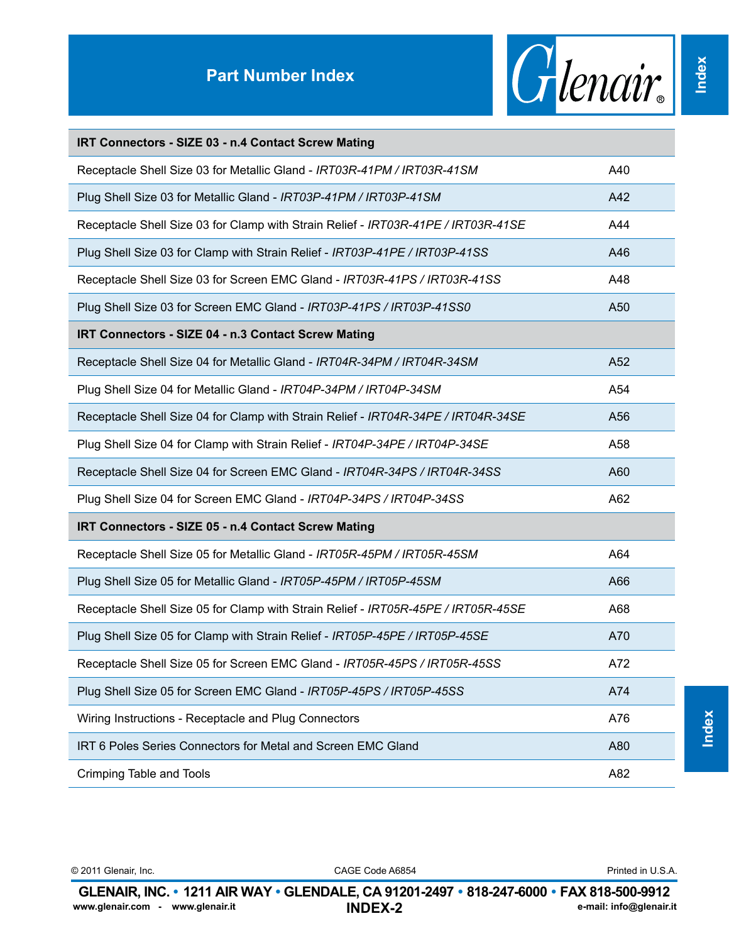## **Part Number Index**



**Index**

## **IRT Connectors - SIZE 03 - n.4 Contact Screw Mating**

| Receptacle Shell Size 03 for Metallic Gland - IRT03R-41PM / IRT03R-41SM           | A40 |
|-----------------------------------------------------------------------------------|-----|
| Plug Shell Size 03 for Metallic Gland - IRT03P-41PM / IRT03P-41SM                 | A42 |
| Receptacle Shell Size 03 for Clamp with Strain Relief - IRT03R-41PE / IRT03R-41SE | A44 |
| Plug Shell Size 03 for Clamp with Strain Relief - IRT03P-41PE / IRT03P-41SS       | A46 |
| Receptacle Shell Size 03 for Screen EMC Gland - IRT03R-41PS / IRT03R-41SS         | A48 |
| Plug Shell Size 03 for Screen EMC Gland - IRT03P-41PS / IRT03P-41SS0              | A50 |
| IRT Connectors - SIZE 04 - n.3 Contact Screw Mating                               |     |
| Receptacle Shell Size 04 for Metallic Gland - IRT04R-34PM / IRT04R-34SM           | A52 |
| Plug Shell Size 04 for Metallic Gland - IRT04P-34PM / IRT04P-34SM                 | A54 |
| Receptacle Shell Size 04 for Clamp with Strain Relief - IRT04R-34PE / IRT04R-34SE | A56 |
| Plug Shell Size 04 for Clamp with Strain Relief - IRT04P-34PE / IRT04P-34SE       | A58 |
| Receptacle Shell Size 04 for Screen EMC Gland - IRT04R-34PS / IRT04R-34SS         | A60 |
| Plug Shell Size 04 for Screen EMC Gland - IRT04P-34PS / IRT04P-34SS               | A62 |
| IRT Connectors - SIZE 05 - n.4 Contact Screw Mating                               |     |
| Receptacle Shell Size 05 for Metallic Gland - IRT05R-45PM / IRT05R-45SM           | A64 |
| Plug Shell Size 05 for Metallic Gland - IRT05P-45PM / IRT05P-45SM                 | A66 |
| Receptacle Shell Size 05 for Clamp with Strain Relief - IRT05R-45PE / IRT05R-45SE | A68 |
| Plug Shell Size 05 for Clamp with Strain Relief - IRT05P-45PE / IRT05P-45SE       | A70 |
| Receptacle Shell Size 05 for Screen EMC Gland - IRT05R-45PS / IRT05R-45SS         | A72 |
| Plug Shell Size 05 for Screen EMC Gland - IRT05P-45PS / IRT05P-45SS               | A74 |
| Wiring Instructions - Receptacle and Plug Connectors                              | A76 |
| IRT 6 Poles Series Connectors for Metal and Screen EMC Gland                      | A80 |
| Crimping Table and Tools                                                          | A82 |

| © 2011 Glenair. Inc.                                                                     | CAGE Code A6854 | Printed in U.S.A.       |
|------------------------------------------------------------------------------------------|-----------------|-------------------------|
| GLENAIR, INC. • 1211 AIR WAY • GLENDALE, CA 91201-2497 • 818-247-6000 • FAX 818-500-9912 |                 |                         |
| www.glenair.com - www.glenair.it                                                         | <b>INDEX-2</b>  | e-mail: info@glenair.it |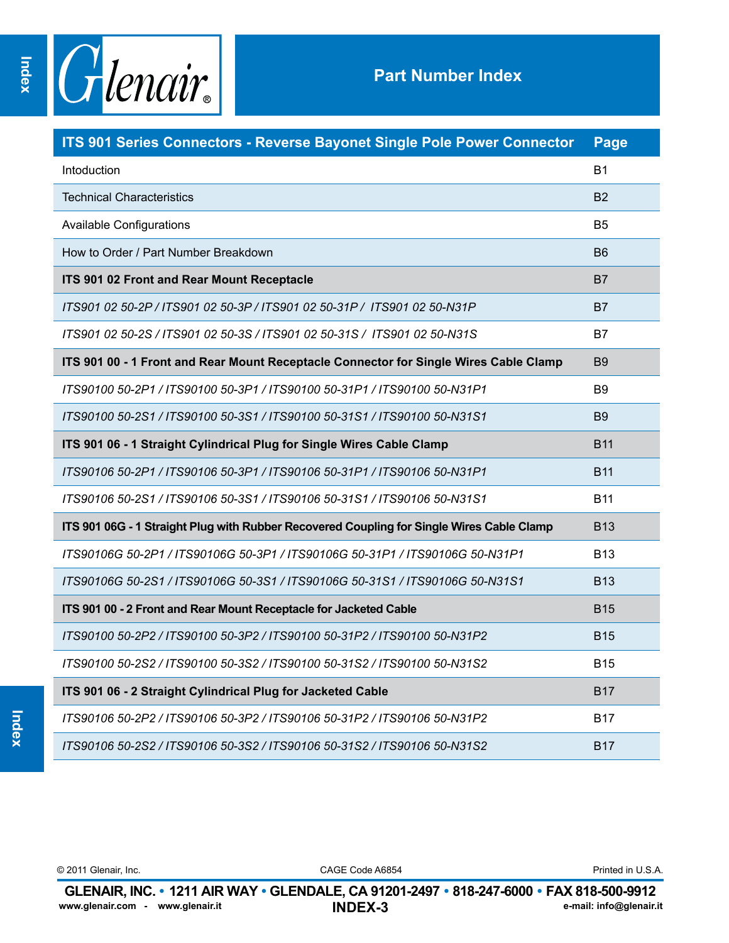

| ITS 901 Series Connectors - Reverse Bayonet Single Pole Power Connector                   | Page           |
|-------------------------------------------------------------------------------------------|----------------|
| Intoduction                                                                               | <b>B1</b>      |
| <b>Technical Characteristics</b>                                                          | <b>B2</b>      |
| <b>Available Configurations</b>                                                           | B <sub>5</sub> |
| How to Order / Part Number Breakdown                                                      | <b>B6</b>      |
| ITS 901 02 Front and Rear Mount Receptacle                                                | <b>B7</b>      |
| ITS901 02 50-2P / ITS901 02 50-3P / ITS901 02 50-31P / ITS901 02 50-N31P                  | <b>B7</b>      |
| ITS901 02 50-2S / ITS901 02 50-3S / ITS901 02 50-31S / ITS901 02 50-N31S                  | B7             |
| ITS 901 00 - 1 Front and Rear Mount Receptacle Connector for Single Wires Cable Clamp     | <b>B</b> 9     |
| ITS90100 50-2P1 / ITS90100 50-3P1 / ITS90100 50-31P1 / ITS90100 50-N31P1                  | <b>B9</b>      |
| ITS90100 50-2S1 / ITS90100 50-3S1 / ITS90100 50-31S1 / ITS90100 50-N31S1                  | <b>B9</b>      |
| ITS 901 06 - 1 Straight Cylindrical Plug for Single Wires Cable Clamp                     | <b>B11</b>     |
| ITS90106 50-2P1 / ITS90106 50-3P1 / ITS90106 50-31P1 / ITS90106 50-N31P1                  | <b>B11</b>     |
| ITS90106 50-2S1 / ITS90106 50-3S1 / ITS90106 50-31S1 / ITS90106 50-N31S1                  | <b>B11</b>     |
| ITS 901 06G - 1 Straight Plug with Rubber Recovered Coupling for Single Wires Cable Clamp | <b>B13</b>     |
| ITS90106G 50-2P1 / ITS90106G 50-3P1 / ITS90106G 50-31P1 / ITS90106G 50-N31P1              | <b>B13</b>     |
| ITS90106G 50-2S1 / ITS90106G 50-3S1 / ITS90106G 50-31S1 / ITS90106G 50-N31S1              | <b>B13</b>     |
| ITS 901 00 - 2 Front and Rear Mount Receptacle for Jacketed Cable                         | <b>B15</b>     |
| ITS90100 50-2P2 / ITS90100 50-3P2 / ITS90100 50-31P2 / ITS90100 50-N31P2                  | <b>B15</b>     |
| ITS90100 50-2S2 / ITS90100 50-3S2 / ITS90100 50-31S2 / ITS90100 50-N31S2                  | <b>B15</b>     |
| ITS 901 06 - 2 Straight Cylindrical Plug for Jacketed Cable                               | <b>B17</b>     |
| ITS90106 50-2P2 / ITS90106 50-3P2 / ITS90106 50-31P2 / ITS90106 50-N31P2                  | B17            |
| ITS90106 50-2S2 / ITS90106 50-3S2 / ITS90106 50-31S2 / ITS90106 50-N31S2                  | <b>B17</b>     |

© 2011 Glenair, Inc. CAGE Code A6854 Printed in U.S.A.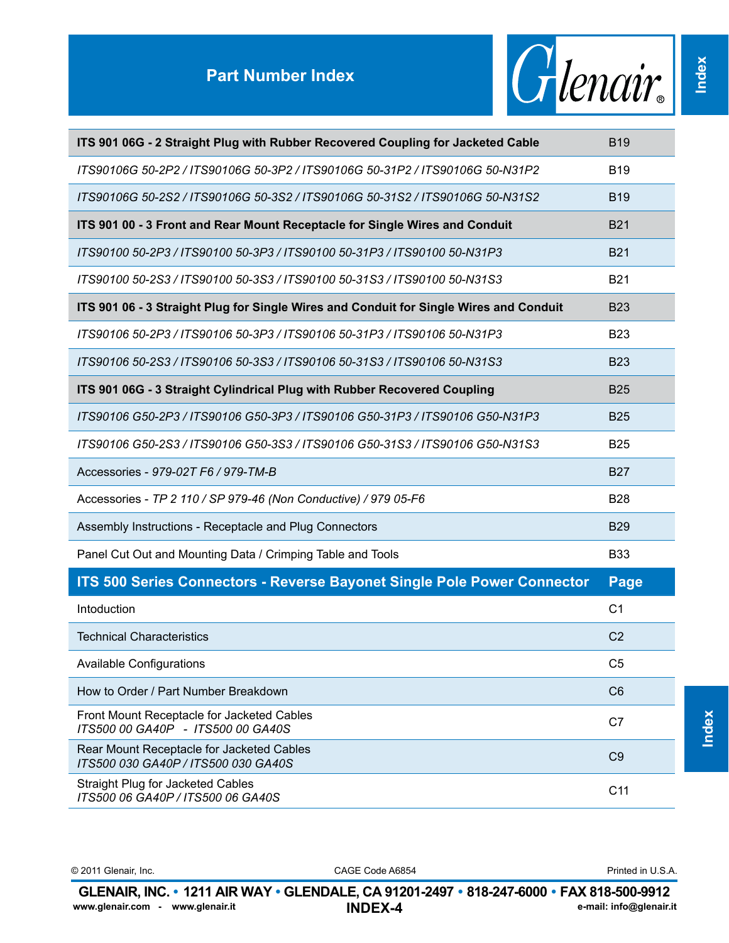

**Index**

| ITS 901 06G - 2 Straight Plug with Rubber Recovered Coupling for Jacketed Cable        | <b>B19</b>      |
|----------------------------------------------------------------------------------------|-----------------|
| ITS90106G 50-2P2 / ITS90106G 50-3P2 / ITS90106G 50-31P2 / ITS90106G 50-N31P2           | <b>B19</b>      |
| ITS90106G 50-2S2 / ITS90106G 50-3S2 / ITS90106G 50-31S2 / ITS90106G 50-N31S2           | <b>B19</b>      |
| ITS 901 00 - 3 Front and Rear Mount Receptacle for Single Wires and Conduit            | <b>B21</b>      |
| ITS90100 50-2P3 / ITS90100 50-3P3 / ITS90100 50-31P3 / ITS90100 50-N31P3               | <b>B21</b>      |
| ITS90100 50-2S3 / ITS90100 50-3S3 / ITS90100 50-31S3 / ITS90100 50-N31S3               | <b>B21</b>      |
| ITS 901 06 - 3 Straight Plug for Single Wires and Conduit for Single Wires and Conduit | <b>B23</b>      |
| ITS90106 50-2P3 / ITS90106 50-3P3 / ITS90106 50-31P3 / ITS90106 50-N31P3               | <b>B23</b>      |
| ITS90106 50-2S3 / ITS90106 50-3S3 / ITS90106 50-31S3 / ITS90106 50-N31S3               | <b>B23</b>      |
| ITS 901 06G - 3 Straight Cylindrical Plug with Rubber Recovered Coupling               | <b>B25</b>      |
| ITS90106 G50-2P3 / ITS90106 G50-3P3 / ITS90106 G50-31P3 / ITS90106 G50-N31P3           | <b>B25</b>      |
| ITS90106 G50-2S3 / ITS90106 G50-3S3 / ITS90106 G50-31S3 / ITS90106 G50-N31S3           | <b>B25</b>      |
| Accessories - 979-02T F6 / 979-TM-B                                                    | <b>B27</b>      |
| Accessories - TP 2 110 / SP 979-46 (Non Conductive) / 979 05-F6                        | <b>B28</b>      |
| Assembly Instructions - Receptacle and Plug Connectors                                 | <b>B29</b>      |
| Panel Cut Out and Mounting Data / Crimping Table and Tools                             | <b>B33</b>      |
| ITS 500 Series Connectors - Reverse Bayonet Single Pole Power Connector                | <b>Page</b>     |
| Intoduction                                                                            | C <sub>1</sub>  |
| <b>Technical Characteristics</b>                                                       | C <sub>2</sub>  |
| Available Configurations                                                               | C <sub>5</sub>  |
| How to Order / Part Number Breakdown                                                   | C <sub>6</sub>  |
| Front Mount Receptacle for Jacketed Cables<br>ITS500 00 GA40P - ITS500 00 GA40S        | C7              |
| Rear Mount Receptacle for Jacketed Cables<br>ITS500 030 GA40P / ITS500 030 GA40S       | C <sub>9</sub>  |
| <b>Straight Plug for Jacketed Cables</b><br>ITS500 06 GA40P / ITS500 06 GA40S          | C <sub>11</sub> |

**INDEX-4 GLENAIR, INC. • 1211 AIR WAY • GLENDALE, CA 91201-2497 • 818-247-6000 • FAX 818-500-9912**<br>www.glenair.com - www.glenair.it **INDEX-4** e-mail: info@glenair.it © 2011 Glenair, Inc. CAGE Code A6854 www.glenair.com - www.glenair.it

Printed in U.S.A.